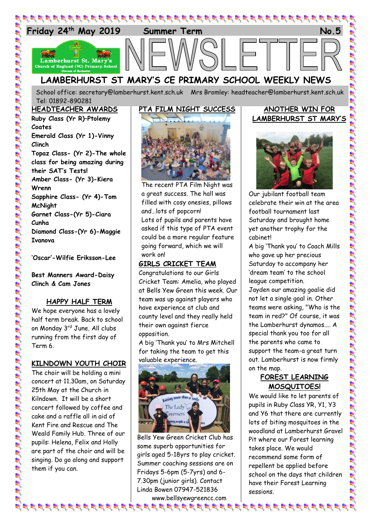

# **LAMBERHURST ST MARY'S CE PRIMARY SCHOOL WEEKLY NEWS**

School office: [secretary@lamberhurst.kent.sch.uk](mailto:secretary@lamberhurst.kent.sch.uk) Mrs Bromley: headteacher@lamberhurst.kent.sch.uk Tel: 01892-890281

#### **HEADTEACHER AWARDS**

**Ruby Class (Yr R)–Ptolemy Coates Emerald Class (Yr 1)-Vinny Clinch Topaz Class- (Yr 2)-The whole class for being amazing during their SAT's Tests! Amber Class- (Yr 3)-Kiera Wrenn Sapphire Class- (Yr 4)-Tom McNight Garnet Class-(Yr 5)-Ciara Cunha Diamond Class-(Yr 6)-Maggie Ivanova**

**'Oscar'-Wilfie Eriksson-Lee**

**Best Manners Award-Daisy Clinch & Cam Jones**

#### **HAPPY HALF TERM**

We hope everyone has a lovely half term break. Back to school on Monday 3rd June. All clubs running from the first day of Term 6.

# **KILNDOWN YOUTH CHOIR**

The choir will be holding a mini concert at 11.30am, on Saturday 25th May at the Church in Kilndown. It will be a short concert followed by coffee and cake and a raffle all in aid of Kent Fire and Rescue and The Weald Family Hub. Three of our pupils: Helena, Felix and Holly are part of the choir and will be singing. Do go along and support them if you can.



The recent PTA Film Night was a great success. The hall was filled with cosy onesies, pillows and…lots of popcorn! Lots of pupils and parents have asked if this type of PTA event could be a more regular feature going forward, which we will work on!

# **GIRLS CRICKET TEAM**

Congratulations to our Girls Cricket Team: Amelia, who played at Bells Yew Green this week. Our team was up against players who have experience at club and county level and they really held their own against fierce opposition.

A big 'Thank you' to Mrs Mitchell for taking the team to get this valuable experience.



Bells Yew Green Cricket Club has some superb opportunities for girls aged 5-18yrs to play cricket. Summer coaching sessions are on Fridays 5-6pm (5-7yrs) and 6- 7.30pm (junior girls). Contact Linda Bowen 07947-521836

www.bellsyewgreencc.com  $\bm{p}$  is  $\bm{p}$  is a particle in the state of the state of the state of the state of the state of the state state state state state state state state state state state state state state state state state state state st

# **ANOTHER WIN FOR LAMBERHURST ST MARY'S**



Our jubilant football team celebrate their win at the area football tournament last Saturday and brought home yet another trophy for the cabinet!

A big 'Thank you' to Coach Mills who gave up her precious Saturday to accompany her 'dream team' to the school league competition.

Jayden our amazing goalie did not let a single goal in. Other teams were asking, "Who is the team in red?" Of course, it was the Lamberhurst dynamos.... A special thank you too for all the parents who came to support the team-a great turn out. Lamberhurst is now firmly on the map.

# **FOREST LEARNING MOSQUITOES!**

We would like to let parents of pupils in Ruby Class YR, Y1, Y3 and Y6 that there are currently lots of biting mosquitoes in the woodland at Lamberhurst Gravel Pit where our Forest learning takes place. We would recommend some form of repellent be applied before school on the days that children have their Forest Learning sessions.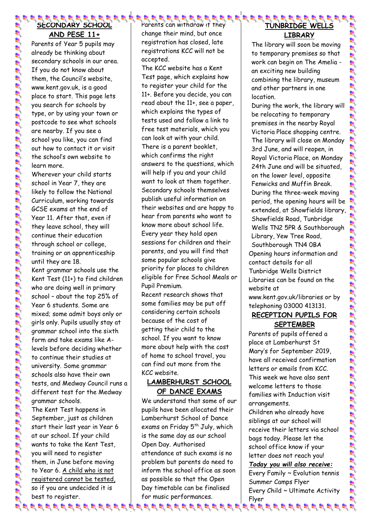# **SECONDARY SCHOOL AND PESE 11+**

Parents of Year 5 pupils may already be thinking about secondary schools in our area. If you do not know about them, the Council's website, www.kent.gov.uk, is a good place to start. This page lets you search for schools by type, or by using your town or postcode to see what schools are nearby. If you see a school you like, you can find out how to contact it or visit the school's own website to learn more.

Wherever your child starts school in Year 7, they are likely to follow the National Curriculum, working towards GCSE exams at the end of Year 11. After that, even if they leave school, they will continue their education through school or college, training or an apprenticeship until they are 18. Kent grammar schools use the Kent Test (11+) to find children who are doing well in primary school – about the top 25% of Year 6 students. Some are mixed; some admit boys only or girls only. Pupils usually stay at grammar school into the sixth form and take exams like Alevels before deciding whether

to continue their studies at university. Some grammar schools also have their own tests, and Medway Council runs a different test for the Medway grammar schools.

The Kent Test happens in September, just as children start their last year in Year 6 at our school. If your child wants to take the Kent Test, you will need to register them, in June before moving to Year 6. A child who is not registered cannot be tested, so if you are undecided it is best to register.

Parents can withdraw if they change their mind, but once registration has closed, late registrations KCC will not be accepted.

The KCC website has a Kent Test page, which explains how to register your child for the 11+. Before you decide, you can read about the 11+, see a paper, which explains the types of tests used and follow a link to free test materials, which you can look at with your child. There is a parent booklet, which confirms the right answers to the questions, which will help if you and your child want to look at them together. Secondary schools themselves publish useful information on their websites and are happy to hear from parents who want to know more about school life. Every year they hold open sessions for children and their parents, and you will find that some popular schools give priority for places to children eligible for Free School Meals or Pupil Premium.

Recent research shows that some families may be put off considering certain schools because of the cost of getting their child to the school. If you want to know more about help with the cost of home to school travel, you can find out more from the KCC website.

#### **LAMBERHURST SCHOOL OF DANCE EXAMS**

We understand that some of our pupils have been allocated their Lamberhurst School of Dance exams on Friday 5<sup>th</sup> July, which is the same day as our school Open Day. Authorised attendance at such exams is no problem but parents do need to inform the school office as soon as possible so that the Open Day timetable can be finalised for music performances.

#### **TUNBRIDGE WELLS LIBRARY**

The library will soon be moving to temporary premises so that work can begin on The Amelia an exciting new building combining the library, museum and other partners in one location.

During the work, the library will be relocating to temporary premises in the nearby Royal Victoria Place shopping centre. The library will close on Monday 3rd June, and will reopen, in Royal Victoria Place, on Monday 24th June and will be situated, on the lower level, opposite Fenwicks and Muffin Break. During the three-week moving period, the opening hours will be extended, at Showfields library, Showfields Road, Tunbridge Wells TN2 5PR & Southborough Library, Yew Tree Road, Southborough TN4 0BA

Opening hours information and contact details for all Tunbridge Wells District Libraries can be found on the website at

www.kent.gov.uk/libraries or by telephoning 03000 413131.

# **RECEPTION PUPILS FOR SEPTEMBER**

Parents of pupils offered a place at Lamberhurst St Mary's for September 2019, have all received confirmation letters or emails from KCC. This week we have also sent welcome letters to those families with Induction visit arrangements.

Children who already have siblings at our school will receive their letters via school bags today. Please let the school office know if your letter does not reach you!

*Today you will also receive:*

Every Family ~ Evolution tennis Summer Camps Flyer Every Child ~ Ultimate Activity Flyer